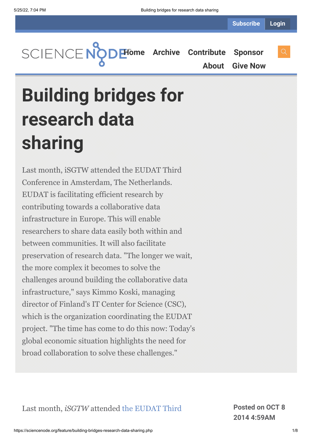**[Home](https://sciencenode.org/) [Archive](https://sciencenode.org/archive/index.php) [Contribute](https://sciencenode.org/contribute/index.php) [Sponsor](https://sciencenode.org/sponsor/index.php) [About](https://sciencenode.org/about/index.php) [Give Now](https://sciencenode.org/donate/index.php)**

# **Building bridges for research data sharing**

Last month, iSGTW attended the EUDAT Third Conference in Amsterdam, The Netherlands. EUDAT is facilitating efficient research by contributing towards a collaborative data infrastructure in Europe. This will enable researchers to share data easily both within and between communities. It will also facilitate preservation of research data. "The longer we wait, the more complex it becomes to solve the challenges around building the collaborative data infrastructure," says Kimmo Koski, managing director of Finland's IT Center for Science (CSC), which is the organization coordinating the EUDAT project. "The time has come to do this now: Today's global economic situation highlights the need for broad collaboration to solve these challenges."

Last month, *iSGTW* [attended the EUDAT Third](http://www.eudat.eu/3rd-eudat-conference) **Posted on OCT 8**

**2014 4:59AM**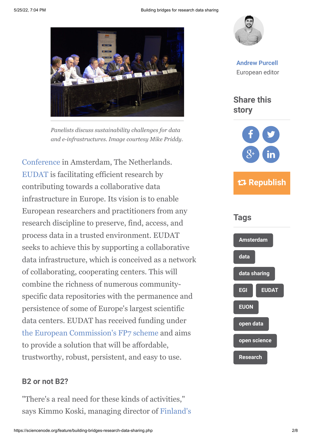

*Panelists discuss sustainability challenges for data and e-infrastructures. Image courtesy Mike Priddy.*

[Conference in Amsterdam, The Netherlands.](http://www.eudat.eu/3rd-eudat-conference) [EUDAT](http://www.eudat.eu/) is facilitating efficient research by contributing towards a collaborative data infrastructure in Europe. Its vision is to enable European researchers and practitioners from any research discipline to preserve, find, access, and process data in a trusted environment. EUDAT seeks to achieve this by supporting a collaborative data infrastructure, which is conceived as a network of collaborating, cooperating centers. This will combine the richness of numerous communityspecific data repositories with the permanence and persistence of some of Europe's largest scientific data centers. EUDAT has received funding under [the European Commission's FP7 scheme](http://cordis.europa.eu/fp7/home_en.html) and aims to provide a solution that will be affordable, trustworthy, robust, persistent, and easy to use.

#### **B2 or not B2?**

"There's a real need for these kinds of activities," [says Kimmo Koski, managing director of Finland's](http://www.csc.fi/english)



**[Andrew Purcell](https://sciencenode.org/author/andrew-purcell.php)** European editor

**Share this story**





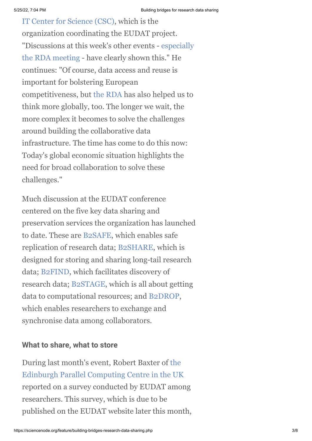[IT Center for Science \(CSC\), which is the](http://www.csc.fi/english) organization coordinating the EUDAT project. ["Discussions at this week's other events - especially](http://www.isgtw.org/feature/sharing-research-data-benefit-all-society) the RDA meeting - have clearly shown this." He continues: "Of course, data access and reuse is important for bolstering European competitiveness, but [the RDA](https://rd-alliance.org/) has also helped us to think more globally, too. The longer we wait, the more complex it becomes to solve the challenges around building the collaborative data infrastructure. The time has come to do this now: Today's global economic situation highlights the need for broad collaboration to solve these challenges."

Much discussion at the EUDAT conference centered on the five key data sharing and preservation services the organization has launched to date. These are [B2SAFE](http://www.eudat.eu/b2safe), which enables safe replication of research data; [B2SHARE](http://www.eudat.eu/b2share), which is designed for storing and sharing long-tail research data; [B2FIND](http://www.eudat.eu/b2find), which facilitates discovery of research data; [B2STAGE,](http://www.eudat.eu/b2stage) which is all about getting data to computational resources; and [B2DROP](https://b2drop.eudat.eu//), which enables researchers to exchange and synchronise data among collaborators.

### **What to share, what to store**

[During last month's event, Robert Baxter of the](file://cern.ch/dfs/Users/a/apurcell/Desktop/OA%20viewed%20generally%20positively%20among%20communities%20surveyed%20by%20EUDAt%20(will%20be%20online%20soon%20%20ask%20HH%20about%20this).) Edinburgh Parallel Computing Centre in the UK reported on a survey conducted by EUDAT among researchers. This survey, which is due to be published on the EUDAT website later this month,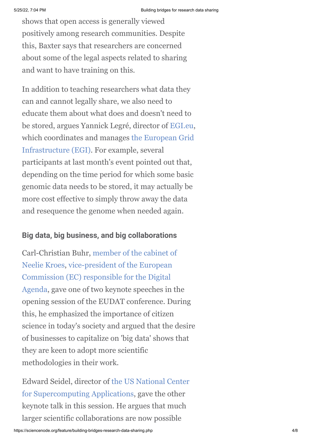shows that open access is generally viewed positively among research communities. Despite this, Baxter says that researchers are concerned about some of the legal aspects related to sharing and want to have training on this.

In addition to teaching researchers what data they can and cannot legally share, we also need to educate them about what does and doesn't need to be stored, argues Yannick Legré, director of [EGI.eu](http://www.egi.eu/about/EGI.eu/), [which coordinates and manages the European Grid](http://www.egi.eu/) Infrastructure (EGI). For example, several participants at last month's event pointed out that, depending on the time period for which some basic genomic data needs to be stored, it may actually be more cost effective to simply throw away the data and resequence the genome when needed again.

# **Big data, big business, and big collaborations**

[Carl-Christian Buhr, member of the cabinet of](http://ec.europa.eu/commission_2010-2014/kroes/en/my-team/) Neelie Kroes, vice-president of the European Commission (EC) responsible for the Digital [Agenda, gave one of two keynote speeches in](http://ec.europa.eu/commission_2010-2014/kroes/) the opening session of the EUDAT conference. During this, he emphasized the importance of citizen science in today's society and argued that the desire of businesses to capitalize on 'big data' shows that they are keen to adopt more scientific methodologies in their work.

[Edward Seidel, director of the US National Center](http://www.ncsa.illinois.edu/) for Supercomputing Applications, gave the other keynote talk in this session. He argues that much larger scientific collaborations are now possible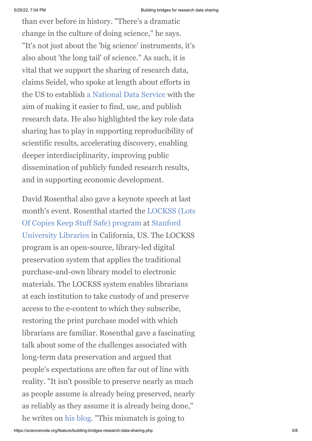than ever before in history. "There's a dramatic change in the culture of doing science," he says. "It's not just about the 'big science' instruments, it's also about 'the long tail' of science." As such, it is vital that we support the sharing of research data, claims Seidel, who spoke at length about efforts in the US to establish [a National Data Service](http://www.nationaldataservice.org/) with the aim of making it easier to find, use, and publish research data. He also highlighted the key role data sharing has to play in supporting reproducibility of scientific results, accelerating discovery, enabling deeper interdisciplinarity, improving public dissemination of publicly funded research results, and in supporting economic development.

David Rosenthal also gave a keynote speech at last [month's event. Rosenthal started the LOCKSS \(Lots](http://blog.dshr.org/2014/09/plenary-talk-at-3rd-eudat-conference.html) [Of Copies Keep Stuff Safe\) program at Stanford](http://library.stanford.edu/) University Libraries in California, US. The LOCKSS program is an open-source, library-led digital preservation system that applies the traditional purchase-and-own library model to electronic materials. The LOCKSS system enables librarians at each institution to take custody of and preserve access to the e-content to which they subscribe, restoring the print purchase model with which librarians are familiar. Rosenthal gave a fascinating talk about some of the challenges associated with long-term data preservation and argued that people's expectations are often far out of line with reality. "It isn't possible to preserve nearly as much as people assume is already being preserved, nearly as reliably as they assume it is already being done," he writes on [his blog.](http://blog.dshr.org/2014/09/plenary-talk-at-3rd-eudat-conference.html) "This mismatch is going to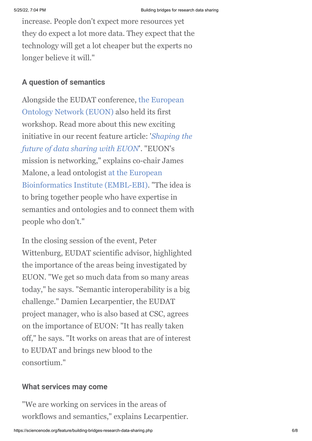increase. People don't expect more resources yet they do expect a lot more data. They expect that the technology will get a lot cheaper but the experts no longer believe it will."

# **A question of semantics**

[Alongside the EUDAT conference, the European](http://www.eudat.eu/euon) Ontology Network (EUON) also held its first workshop. Read more about this new exciting [initiative in our recent feature article: '](http://www.isgtw.org/feature/shaping-future-data-sharing-euon)*Shaping the future of data sharing with EUON*'. "EUON's mission is networking," explains co-chair James [Malone, a lead ontologist at the European](http://www.ebi.ac.uk/) Bioinformatics Institute (EMBL-EBI). "The idea is to bring together people who have expertise in semantics and ontologies and to connect them with people who don't."

In the closing session of the event, Peter Wittenburg, EUDAT scientific advisor, highlighted the importance of the areas being investigated by EUON. "We get so much data from so many areas today," he says. "Semantic interoperability is a big challenge." Damien Lecarpentier, the EUDAT project manager, who is also based at CSC, agrees on the importance of EUON: "It has really taken off," he says. "It works on areas that are of interest to EUDAT and brings new blood to the consortium."

### **What services may come**

"We are working on services in the areas of workflows and semantics," explains Lecarpentier.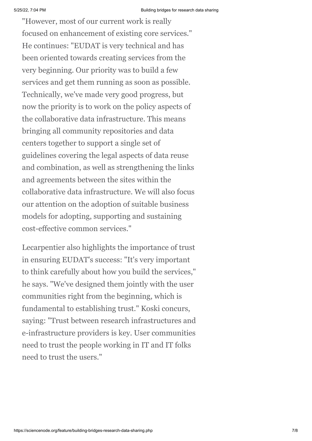"However, most of our current work is really focused on enhancement of existing core services." He continues: "EUDAT is very technical and has been oriented towards creating services from the very beginning. Our priority was to build a few services and get them running as soon as possible. Technically, we've made very good progress, but now the priority is to work on the policy aspects of the collaborative data infrastructure. This means bringing all community repositories and data centers together to support a single set of guidelines covering the legal aspects of data reuse and combination, as well as strengthening the links and agreements between the sites within the collaborative data infrastructure. We will also focus our attention on the adoption of suitable business models for adopting, supporting and sustaining cost-effective common services."

Lecarpentier also highlights the importance of trust in ensuring EUDAT's success: "It's very important to think carefully about how you build the services," he says. "We've designed them jointly with the user communities right from the beginning, which is fundamental to establishing trust." Koski concurs, saying: "Trust between research infrastructures and e-infrastructure providers is key. User communities need to trust the people working in IT and IT folks need to trust the users."